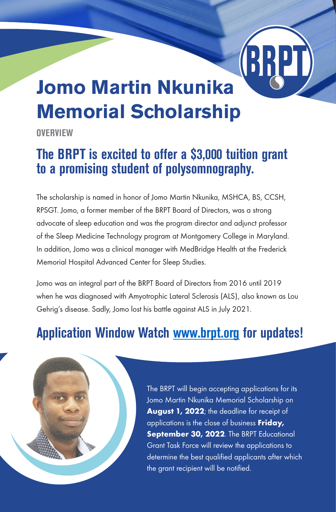# **Jomo Martin Nkunika Memorial Scholarship**

**OVERVIEW**

# **The BRPT is excited to offer a \$3,000 tuition grant to a promising student of polysomnography.**

The scholarship is named in honor of Jomo Martin Nkunika, MSHCA, BS, CCSH, RPSGT. Jomo, a former member of the BRPT Board of Directors, was a strong advocate of sleep education and was the program director and adjunct professor of the Sleep Medicine Technology program at Montgomery College in Maryland. In addition, Jomo was a clinical manager with MedBridge Health at the Frederick Memorial Hospital Advanced Center for Sleep Studies.

Jomo was an integral part of the BRPT Board of Directors from 2016 until 2019 when he was diagnosed with Amyotrophic Lateral Sclerosis (ALS), also known as Lou Gehrig's disease. Sadly, Jomo lost his battle against ALS in July 2021.

# **Application Window Watch www.brpt.org for updates!**

The BRPT will begin accepting applications for its Jomo Martin Nkunika Memorial Scholarship on August 1, 2022; the deadline for receipt of applications is the close of business Friday, September 30, 2022. The BRPT Educational Grant Task Force will review the applications to determine the best qualified applicants after which the grant recipient will be notified.